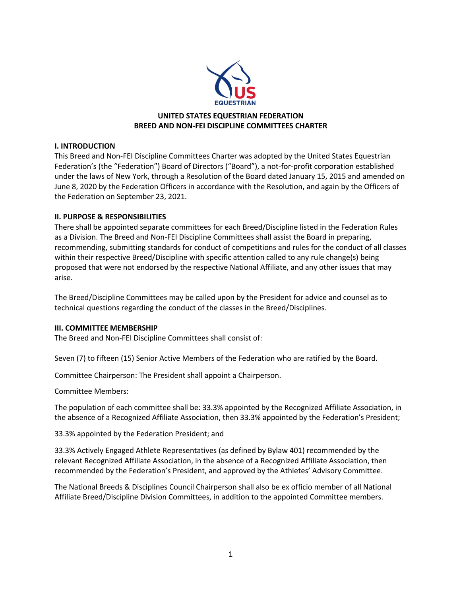

# **UNITED STATES EQUESTRIAN FEDERATION BREED AND NON-FEI DISCIPLINE COMMITTEES CHARTER**

## **I. INTRODUCTION**

This Breed and Non-FEI Discipline Committees Charter was adopted by the United States Equestrian Federation's (the "Federation") Board of Directors ("Board"), a not-for-profit corporation established under the laws of New York, through a Resolution of the Board dated January 15, 2015 and amended on June 8, 2020 by the Federation Officers in accordance with the Resolution, and again by the Officers of the Federation on September 23, 2021.

### **II. PURPOSE & RESPONSIBILITIES**

There shall be appointed separate committees for each Breed/Discipline listed in the Federation Rules as a Division. The Breed and Non-FEI Discipline Committees shall assist the Board in preparing, recommending, submitting standards for conduct of competitions and rules for the conduct of all classes within their respective Breed/Discipline with specific attention called to any rule change(s) being proposed that were not endorsed by the respective National Affiliate, and any other issues that may arise.

The Breed/Discipline Committees may be called upon by the President for advice and counsel as to technical questions regarding the conduct of the classes in the Breed/Disciplines.

#### **III. COMMITTEE MEMBERSHIP**

The Breed and Non-FEI Discipline Committees shall consist of:

Seven (7) to fifteen (15) Senior Active Members of the Federation who are ratified by the Board.

Committee Chairperson: The President shall appoint a Chairperson.

Committee Members:

The population of each committee shall be: 33.3% appointed by the Recognized Affiliate Association, in the absence of a Recognized Affiliate Association, then 33.3% appointed by the Federation's President;

33.3% appointed by the Federation President; and

33.3% Actively Engaged Athlete Representatives (as defined by Bylaw 401) recommended by the relevant Recognized Affiliate Association, in the absence of a Recognized Affiliate Association, then recommended by the Federation's President, and approved by the Athletes' Advisory Committee.

The National Breeds & Disciplines Council Chairperson shall also be ex officio member of all National Affiliate Breed/Discipline Division Committees, in addition to the appointed Committee members.